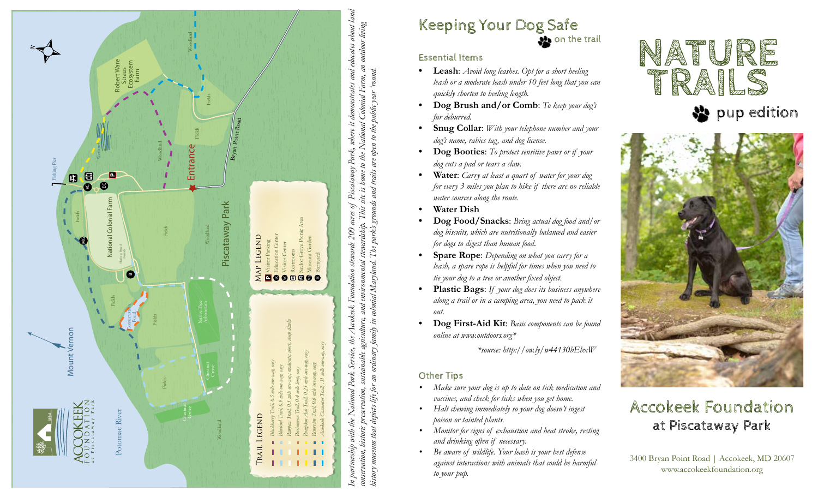

# Keeping Your Dog Safe

**Sol** on the trail

### Essential Items

- **• Leash**: *Avoid long leashes. Opt for a short heeling leash or a moderate leash under 10 feet long that you can quickly shorten to heeling length.*
- **• Dog Brush and/or Comb**: *To keep your dog's fur deburred.*
- **• Snug Collar**: *With your telephone number and your dog's name, rabies tag, and dog license.*
- **• Dog Booties**: *To protect sensitive paws or if your dog cuts a pad or tears a claw.*
- **• Water**: *Carry at least a quart of water for your dog for every 3 miles you plan to hike if there are no reliable water sources along the route.*
- **• Water Dish**
- **• Dog Food/Snacks**: *Bring actual dog food and/or dog biscuits, which are nutritionally balanced and easier for dogs to digest than human food*.
- **• Spare Rope**: *Depending on what you carry for a leash, a spare rope is helpful for times when you need to tie your dog to a tree or another fixed object.*
- **• Plastic Bags**: *If your dog does its business anywhere along a trail or in a camping area, you need to pack it out.*
- **• Dog First-Aid Kit**: *Basic components can be found online at www.outdoors.org\**

 *\*source: http://ow.ly/w44130bEbxW*

## Other Tips

- *• Make sure your dog is up to date on tick medication and vaccines, and check for ticks when you get home.*
- *• Halt chewing immediately so your dog doesn't ingest poison or tainted plants.*
- *• Monitor for signs of exhaustion and heat stroke, resting and drinking often if necessary.*
- *• Be aware of wildlife. Your leash is your best defense against interactions with animals that could be harmful to your pup.*



## $\frac{1}{2}$  pup edition



## Accokeek Foundation at Piscataway Park

3400 Bryan Point Road | Accokeek, MD 20607 www.accokeekfoundation.org